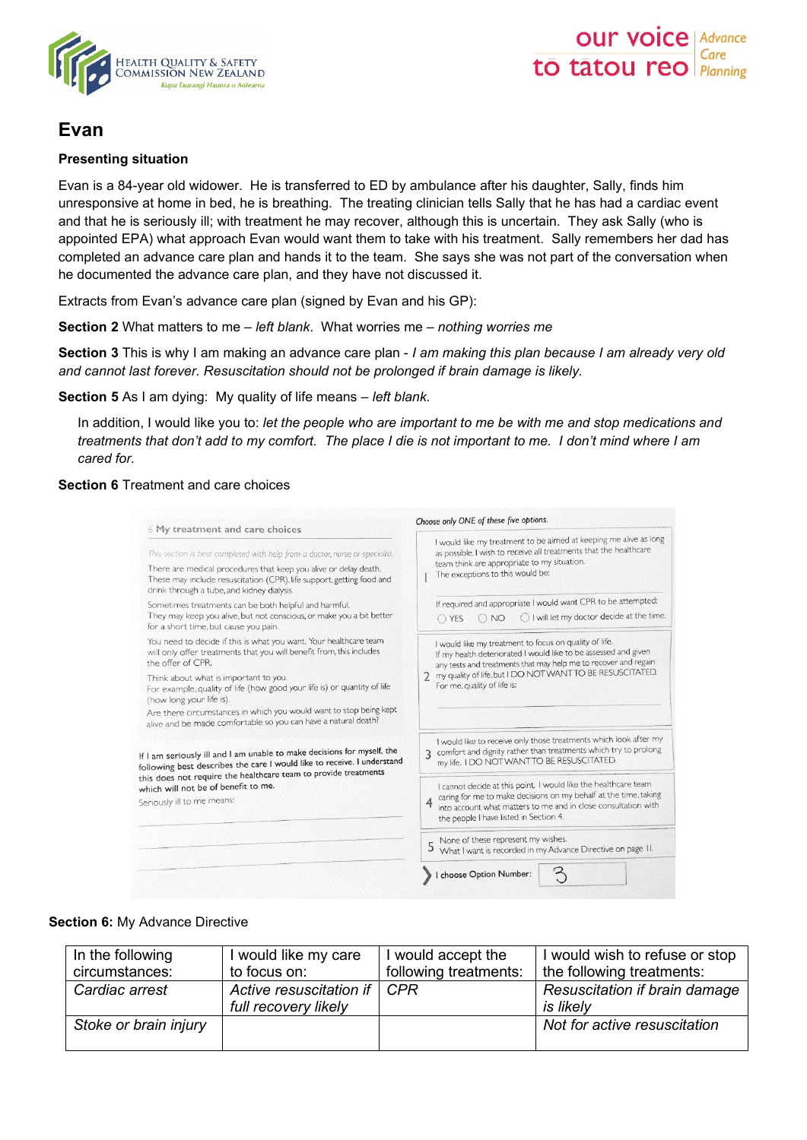



# **Evan**

## **Presenting situation**

Evan is a 84-year old widower. He is transferred to ED by ambulance after his daughter, Sally, finds him unresponsive at home in bed, he is breathing. The treating clinician tells Sally that he has had a cardiac event and that he is seriously ill; with treatment he may recover, although this is uncertain. They ask Sally (who is appointed EPA) what approach Evan would want them to take with his treatment. Sally remembers her dad has completed an advance care plan and hands it to the team. She says she was not part of the conversation when he documented the advance care plan, and they have not discussed it.

Extracts from Evan's advance care plan (signed by Evan and his GP):

**Section 2** What matters to me – *left blank*. What worries me – *nothing worries me*

**Section 3** This is why I am making an advance care plan - *I am making this plan because I am already very old and cannot last forever. Resuscitation should not be prolonged if brain damage is likely.*

**Section 5** As I am dying: My quality of life means – *left blank.* 

In addition, I would like you to: *let the people who are important to me be with me and stop medications and treatments that don't add to my comfort. The place I die is not important to me. I don't mind where I am cared for.*

# **Section 6** Treatment and care choices

| 6 My treatment and care choices                                                                                                                                                                                                                                                       | Choose only ONE of these five options.                                                                                                                                                                                                                                                                                                                    |  |
|---------------------------------------------------------------------------------------------------------------------------------------------------------------------------------------------------------------------------------------------------------------------------------------|-----------------------------------------------------------------------------------------------------------------------------------------------------------------------------------------------------------------------------------------------------------------------------------------------------------------------------------------------------------|--|
| This section is best completed with help from a doctor, nurse or specialist.<br>There are medical procedures that keep you alive or delay death.<br>These may include resuscitation (CPR), life support, getting food and<br>drink through a tube, and kidney dialysis.               | I would like my treatment to be aimed at keeping me alive as long<br>as possible. I wish to receive all treatments that the healthcare<br>team think are appropriate to my situation.<br>The exceptions to this would be:                                                                                                                                 |  |
| Sometimes treatments can be both helpful and harmful.<br>They may keep you alive, but not conscious, or make you a bit better<br>for a short time, but cause you pain.                                                                                                                | If required and appropriate I would want CPR to be attempted:<br>◯ I will let my doctor decide at the time.<br>$\bigcirc$ NO<br>O YES                                                                                                                                                                                                                     |  |
| You need to decide if this is what you want. Your healthcare team<br>will only offer treatments that you will benefit from, this includes<br>the offer of CPR.                                                                                                                        | I would like my treatment to focus on quality of life.<br>If my health deteriorated I would like to be assessed and given<br>any tests and treatments that may help me to recover and regain<br>my quality of life, but I DO NOT WANT TO BE RESUSCITATED.<br>For me, quality of life is:                                                                  |  |
| Think about what is important to you.<br>For example, quality of life (how good your life is) or quantity of life<br>(how long your life is).<br>Are there circumstances in which you would want to stop being kept<br>alive and be made comfortable so you can have a natural death? |                                                                                                                                                                                                                                                                                                                                                           |  |
| If I am seriously ill and I am unable to make decisions for myself, the<br>following best describes the care I would like to receive. I understand                                                                                                                                    | I would like to receive only those treatments which look after my<br>3 comfort and dignity rather than treatments which try to prolong<br>my life. I DO NOT WANT TO BE RESUSCITATED.                                                                                                                                                                      |  |
| this does not require the healthcare team to provide treatments<br>which will not be of benefit to me.<br>Seriously ill to me means:                                                                                                                                                  | I cannot decide at this point. I would like the healthcare team<br>caring for me to make decisions on my behalf at the time, taking<br>into account what matters to me and in close consultation with<br>the people I have listed in Section 4.<br>None of these represent my wishes.<br>What I want is recorded in my Advance Directive on page 11.<br>5 |  |
|                                                                                                                                                                                                                                                                                       |                                                                                                                                                                                                                                                                                                                                                           |  |

#### **Section 6:** My Advance Directive

| In the following      | I would like my care                            | I would accept the    | I would wish to refuse or stop             |
|-----------------------|-------------------------------------------------|-----------------------|--------------------------------------------|
| circumstances:        | to focus on:                                    | following treatments: | the following treatments:                  |
| Cardiac arrest        | Active resuscitation if<br>full recovery likely | <b>CPR</b>            | Resuscitation if brain damage<br>is likely |
| Stoke or brain injury |                                                 |                       | Not for active resuscitation               |